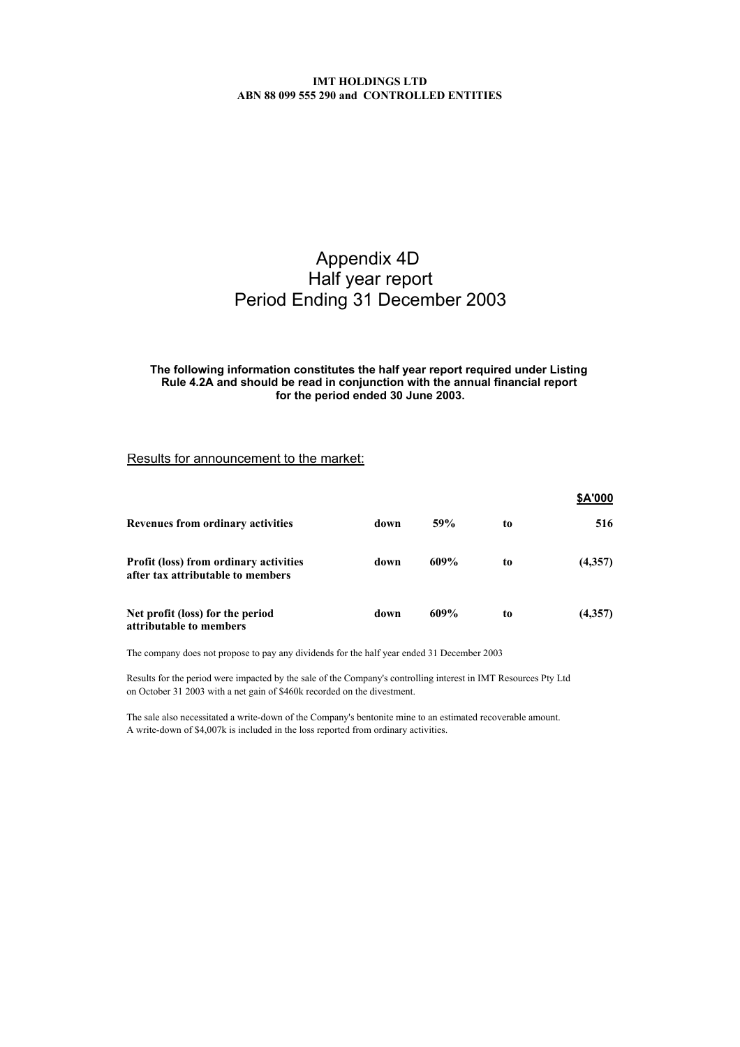# Appendix 4D Half year report Period Ending 31 December 2003

### **for the period ended 30 June 2003. The following information constitutes the half year report required under Listing Rule 4.2A and should be read in conjunction with the annual financial report**

## Results for announcement to the market:

|                                                                                    |      |      |    | <b>SA'000</b> |
|------------------------------------------------------------------------------------|------|------|----|---------------|
| Revenues from ordinary activities                                                  | down | 59%  | to | 516           |
| <b>Profit (loss) from ordinary activities</b><br>after tax attributable to members | down | 609% | to | (4,357)       |
| Net profit (loss) for the period<br>attributable to members                        | down | 609% | to | (4,357)       |

The company does not propose to pay any dividends for the half year ended 31 December 2003

Results for the period were impacted by the sale of the Company's controlling interest in IMT Resources Pty Ltd on October 31 2003 with a net gain of \$460k recorded on the divestment.

The sale also necessitated a write-down of the Company's bentonite mine to an estimated recoverable amount. A write-down of \$4,007k is included in the loss reported from ordinary activities.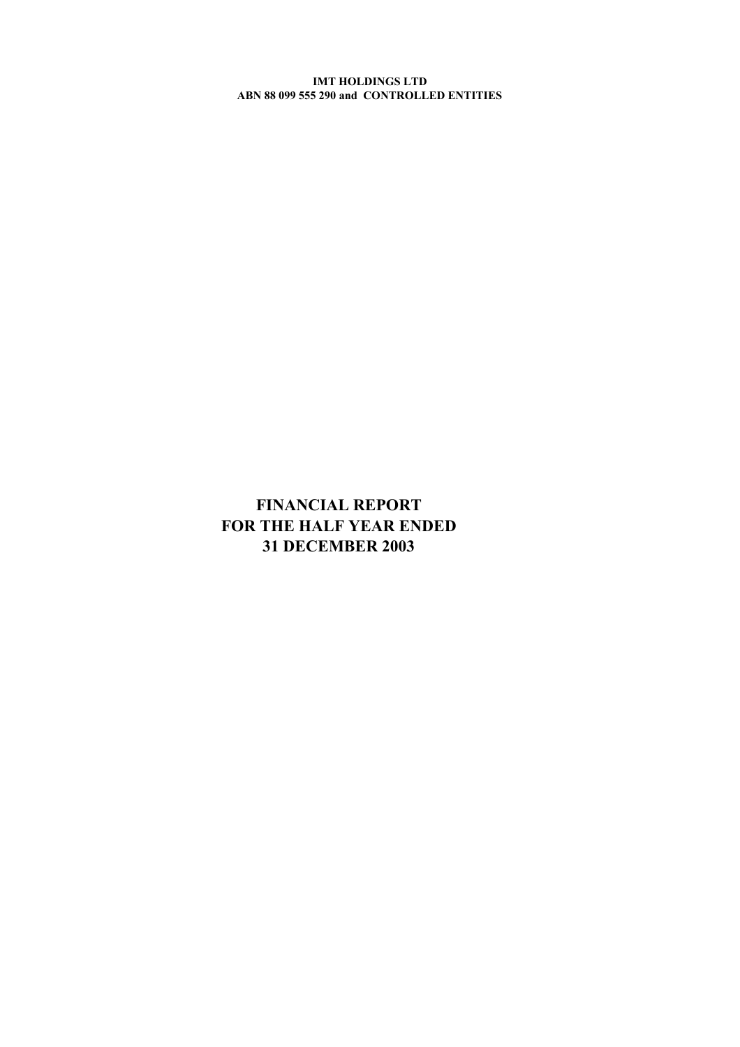# **FINANCIAL REPORT FOR THE HALF YEAR ENDED 31 DECEMBER 2003**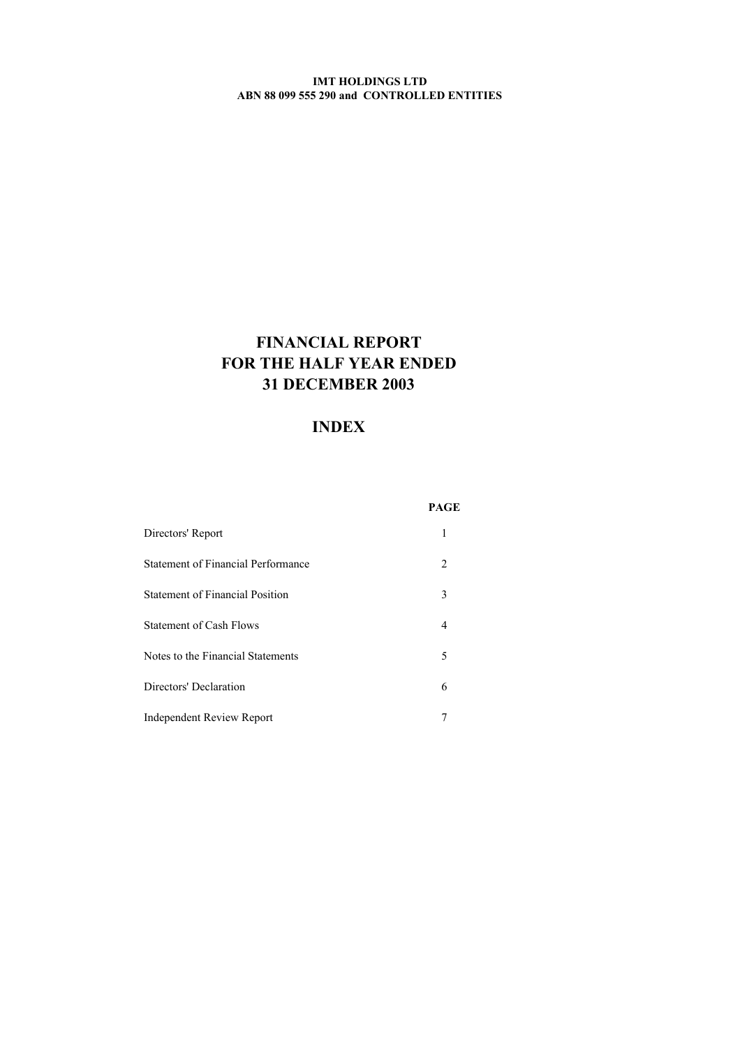# **FINANCIAL REPORT FOR THE HALF YEAR ENDED 31 DECEMBER 2003**

# **INDEX**

|                                        | PAGE                          |
|----------------------------------------|-------------------------------|
| Directors' Report                      | 1                             |
| Statement of Financial Performance     | $\mathfrak{D}_{\mathfrak{p}}$ |
| <b>Statement of Financial Position</b> | 3                             |
| <b>Statement of Cash Flows</b>         | 4                             |
| Notes to the Financial Statements      | 5                             |
| Directors' Declaration                 | 6                             |
| <b>Independent Review Report</b>       |                               |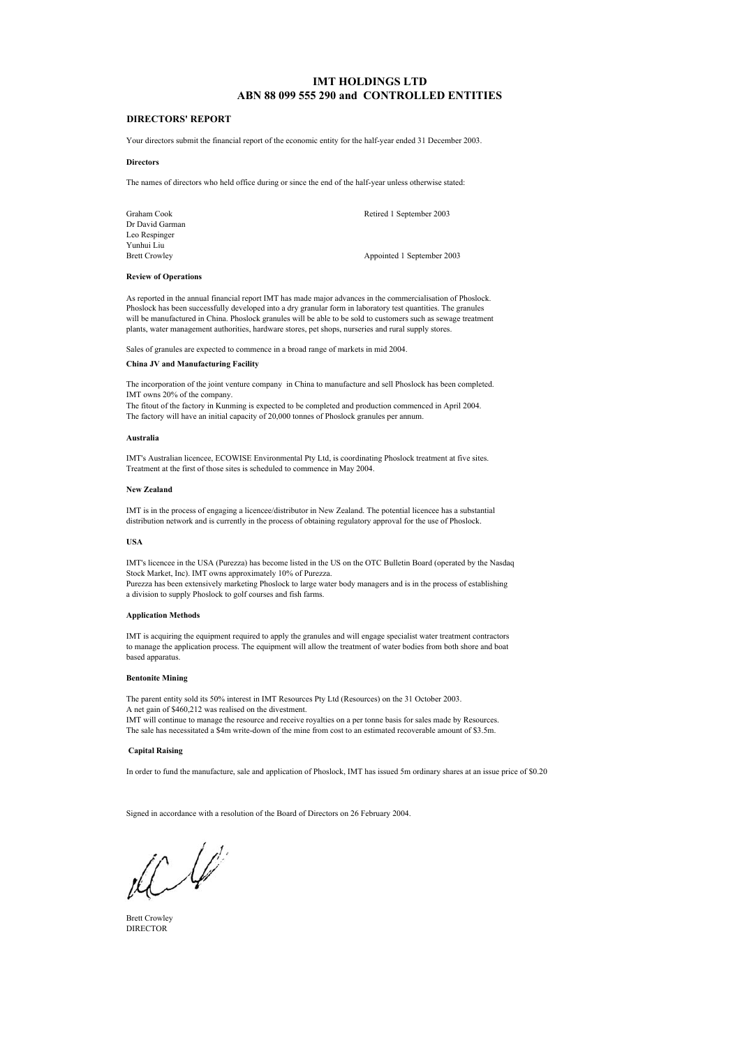### **DIRECTORS' REPORT**

Your directors submit the financial report of the economic entity for the half-year ended 31 December 2003.

#### **Directors**

The names of directors who held office during or since the end of the half-year unless otherwise stated:

Dr David Garman Leo Respinger Yunhui Liu<br>Brett Crowley

Graham Cook Retired 1 September 2003

Appointed 1 September 2003

#### **Review of Operations**

As reported in the annual financial report IMT has made major advances in the commercialisation of Phoslock. Phoslock has been successfully developed into a dry granular form in laboratory test quantities. The granules will be manufactured in China. Phoslock granules will be able to be sold to customers such as sewage treatment plants, water management authorities, hardware stores, pet shops, nurseries and rural supply stores.

Sales of granules are expected to commence in a broad range of markets in mid 2004.

### **China JV and Manufacturing Facility**

The incorporation of the joint venture company in China to manufacture and sell Phoslock has been completed. IMT owns 20% of the company.

The fitout of the factory in Kunming is expected to be completed and production commenced in April 2004. The factory will have an initial capacity of 20,000 tonnes of Phoslock granules per annum.

#### **Australia**

IMT's Australian licencee, ECOWISE Environmental Pty Ltd, is coordinating Phoslock treatment at five sites. Treatment at the first of those sites is scheduled to commence in May 2004.

#### **New Zealand**

IMT is in the process of engaging a licencee/distributor in New Zealand. The potential licencee has a substantial distribution network and is currently in the process of obtaining regulatory approval for the use of Phoslock.

### **USA**

IMT's licencee in the USA (Purezza) has become listed in the US on the OTC Bulletin Board (operated by the Nasdaq Stock Market, Inc). IMT owns approximately 10% of Purezza.

Purezza has been extensively marketing Phoslock to large water body managers and is in the process of establishing a division to supply Phoslock to golf courses and fish farms.

#### **Application Methods**

to manage the application process. The equipment will allow the treatment of water bodies from both shore and boat based apparatus. IMT is acquiring the equipment required to apply the granules and will engage specialist water treatment contractors

#### **Bentonite Mining**

The parent entity sold its 50% interest in IMT Resources Pty Ltd (Resources) on the 31 October 2003. A net gain of \$460,212 was realised on the divestment. IMT will continue to manage the resource and receive royalties on a per tonne basis for sales made by Resources. The sale has necessitated a \$4m write-down of the mine from cost to an estimated recoverable amount of \$3.5m.

#### **Capital Raising**

In order to fund the manufacture, sale and application of Phoslock, IMT has issued 5m ordinary shares at an issue price of \$0.20

Signed in accordance with a resolution of the Board of Directors on 26 February 2004.

 $\frac{1}{2}$  $L$ 

Brett Crowley DIRECTOR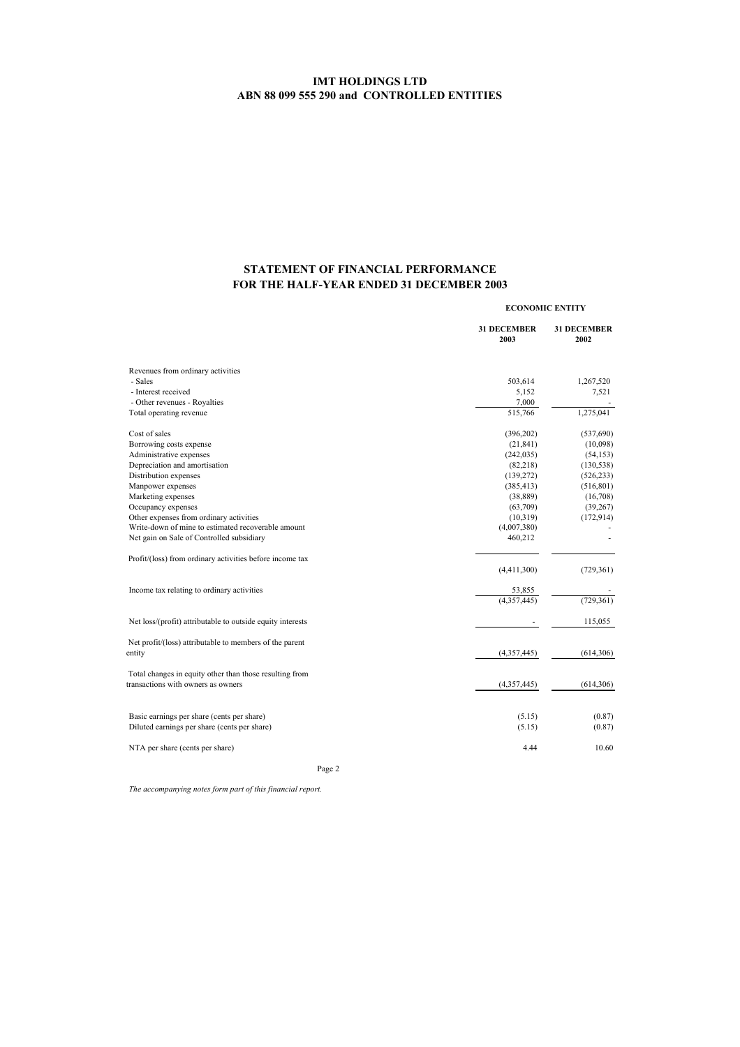# **STATEMENT OF FINANCIAL PERFORMANCE FOR THE HALF-YEAR ENDED 31 DECEMBER 2003**

|                                                                                               |                            | <b>ECONOMIC ENTITY</b>     |  |
|-----------------------------------------------------------------------------------------------|----------------------------|----------------------------|--|
|                                                                                               | <b>31 DECEMBER</b><br>2003 | <b>31 DECEMBER</b><br>2002 |  |
| Revenues from ordinary activities                                                             |                            |                            |  |
| - Sales                                                                                       | 503,614                    | 1,267,520                  |  |
| - Interest received                                                                           | 5,152                      | 7,521                      |  |
| - Other revenues - Royalties                                                                  | 7,000                      |                            |  |
| Total operating revenue                                                                       | 515,766                    | 1,275,041                  |  |
| Cost of sales                                                                                 | (396, 202)                 | (537, 690)                 |  |
| Borrowing costs expense                                                                       | (21, 841)                  | (10,098)                   |  |
| Administrative expenses                                                                       | (242, 035)                 | (54, 153)                  |  |
| Depreciation and amortisation                                                                 | (82, 218)                  | (130, 538)                 |  |
| Distribution expenses                                                                         | (139, 272)                 | (526, 233)                 |  |
| Manpower expenses                                                                             | (385, 413)                 | (516, 801)                 |  |
| Marketing expenses                                                                            | (38, 889)                  | (16,708)                   |  |
| Occupancy expenses                                                                            | (63,709)                   | (39, 267)                  |  |
| Other expenses from ordinary activities                                                       | (10, 319)                  | (172, 914)                 |  |
| Write-down of mine to estimated recoverable amount                                            | (4,007,380)                |                            |  |
| Net gain on Sale of Controlled subsidiary                                                     | 460,212                    |                            |  |
| Profit/(loss) from ordinary activities before income tax                                      |                            |                            |  |
|                                                                                               | (4,411,300)                | (729, 361)                 |  |
| Income tax relating to ordinary activities                                                    | 53,855                     |                            |  |
|                                                                                               | $\overline{(4,357,445)}$   | (729, 361)                 |  |
| Net loss/(profit) attributable to outside equity interests                                    |                            | 115,055                    |  |
| Net profit/(loss) attributable to members of the parent                                       |                            |                            |  |
| entity                                                                                        | (4,357,445)                | (614, 306)                 |  |
| Total changes in equity other than those resulting from<br>transactions with owners as owners | (4,357,445)                | (614, 306)                 |  |
| Basic earnings per share (cents per share)                                                    | (5.15)                     | (0.87)                     |  |
| Diluted earnings per share (cents per share)                                                  | (5.15)                     | (0.87)                     |  |
| NTA per share (cents per share)                                                               | 4.44                       | 10.60                      |  |
|                                                                                               |                            |                            |  |

Page 2

*The accompanying notes form part of this financial report.*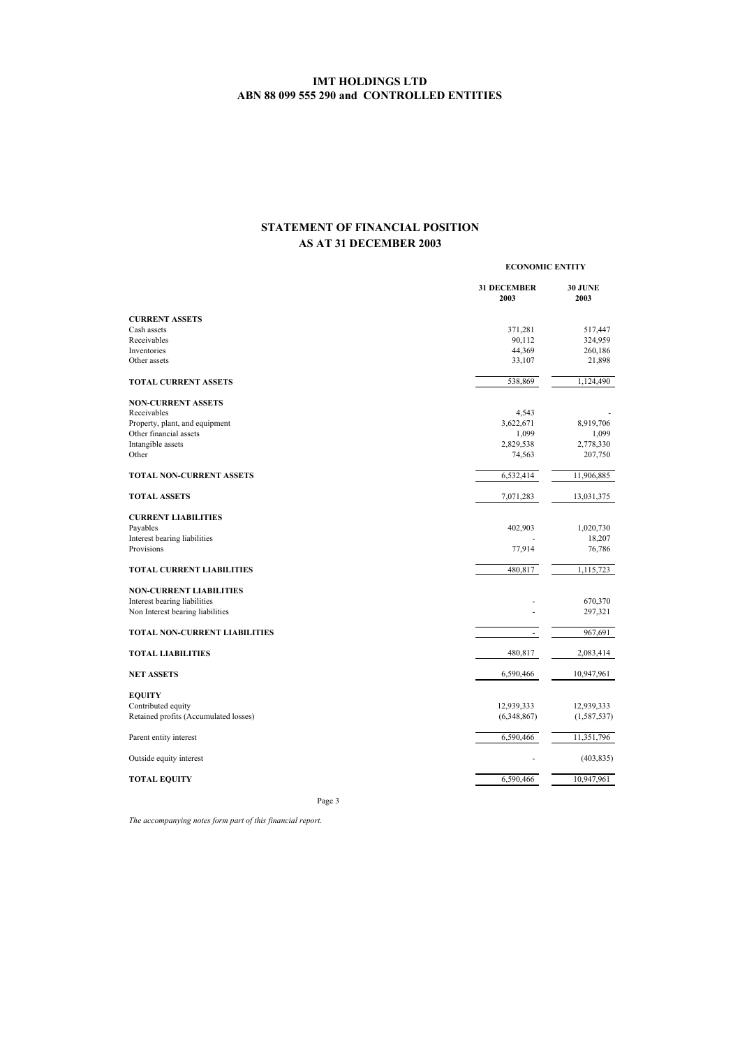# **STATEMENT OF FINANCIAL POSITION AS AT 31 DECEMBER 2003**

|                                       |                            | <b>ECONOMIC ENTITY</b> |  |
|---------------------------------------|----------------------------|------------------------|--|
|                                       | <b>31 DECEMBER</b><br>2003 | <b>30 JUNE</b><br>2003 |  |
| <b>CURRENT ASSETS</b>                 |                            |                        |  |
| Cash assets                           | 371,281                    | 517,447                |  |
| Receivables                           | 90,112                     | 324,959                |  |
| Inventories                           | 44,369                     | 260,186                |  |
| Other assets                          | 33,107                     | 21,898                 |  |
| <b>TOTAL CURRENT ASSETS</b>           | 538,869                    | 1,124,490              |  |
| <b>NON-CURRENT ASSETS</b>             |                            |                        |  |
| Receivables                           | 4,543                      |                        |  |
| Property, plant, and equipment        | 3,622,671                  | 8,919,706              |  |
| Other financial assets                | 1,099                      | 1,099                  |  |
| Intangible assets                     | 2,829,538                  | 2,778,330              |  |
| Other                                 | 74,563                     | 207,750                |  |
| <b>TOTAL NON-CURRENT ASSETS</b>       | 6,532,414                  | 11,906,885             |  |
| <b>TOTAL ASSETS</b>                   | 7,071,283                  | 13,031,375             |  |
| <b>CURRENT LIABILITIES</b>            |                            |                        |  |
| Payables                              | 402,903                    | 1,020,730              |  |
| Interest bearing liabilities          |                            | 18,207                 |  |
| Provisions                            | 77,914                     | 76,786                 |  |
| <b>TOTAL CURRENT LIABILITIES</b>      | 480,817                    | 1,115,723              |  |
| <b>NON-CURRENT LIABILITIES</b>        |                            |                        |  |
| Interest bearing liabilities          |                            | 670,370                |  |
| Non Interest bearing liabilities      |                            | 297,321                |  |
| <b>TOTAL NON-CURRENT LIABILITIES</b>  | ٠                          | 967,691                |  |
| <b>TOTAL LIABILITIES</b>              | 480,817                    | 2,083,414              |  |
| <b>NET ASSETS</b>                     | 6,590,466                  | 10,947,961             |  |
|                                       |                            |                        |  |
| <b>EQUITY</b><br>Contributed equity   | 12,939,333                 | 12,939,333             |  |
| Retained profits (Accumulated losses) | (6,348,867)                | (1, 587, 537)          |  |
|                                       |                            |                        |  |
| Parent entity interest                | 6,590,466                  | 11,351,796             |  |
| Outside equity interest               |                            | (403, 835)             |  |
| <b>TOTAL EQUITY</b>                   | 6,590,466                  | 10,947,961             |  |
|                                       |                            |                        |  |

Page 3

*The accompanying notes form part of this financial report.*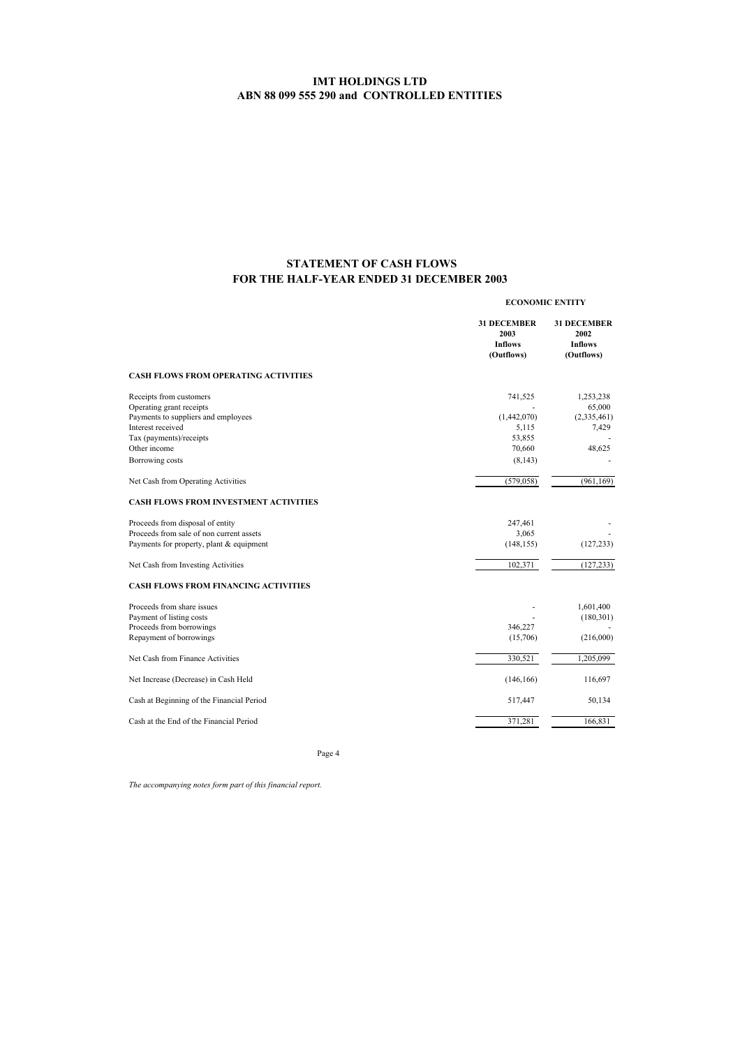## **FOR THE HALF-YEAR ENDED 31 DECEMBER 2003 STATEMENT OF CASH FLOWS**

| <b>31 DECEMBER</b><br>2003<br>2002<br><b>Inflows</b><br><b>Inflows</b><br>(Outflows)<br>(Outflows)<br>741,525<br>(1,442,070)<br>5,115<br>7,429<br>53,855<br>70,660<br>48,625<br>(8, 143)<br>(579, 058)<br>247,461<br>3,065<br>(148, 155)<br>(127, 233)<br>102,371<br>(180, 301)<br>346,227<br>(216,000)<br>(15,706)<br>330,521<br>(146, 166)<br>517,447<br>Cash at the End of the Financial Period<br>371,281                                                                                                                                                                                                                                                                                                                                                                 | <b>ECONOMIC ENTITY</b> |                                    |  |
|-------------------------------------------------------------------------------------------------------------------------------------------------------------------------------------------------------------------------------------------------------------------------------------------------------------------------------------------------------------------------------------------------------------------------------------------------------------------------------------------------------------------------------------------------------------------------------------------------------------------------------------------------------------------------------------------------------------------------------------------------------------------------------|------------------------|------------------------------------|--|
| <b>CASH FLOWS FROM OPERATING ACTIVITIES</b><br>Receipts from customers<br>Operating grant receipts<br>Payments to suppliers and employees<br>Interest received<br>Tax (payments)/receipts<br>Other income<br>Borrowing costs<br>Net Cash from Operating Activities<br><b>CASH FLOWS FROM INVESTMENT ACTIVITIES</b><br>Proceeds from disposal of entity<br>Proceeds from sale of non current assets<br>Payments for property, plant & equipment<br>Net Cash from Investing Activities<br><b>CASH FLOWS FROM FINANCING ACTIVITIES</b><br>Proceeds from share issues<br>Payment of listing costs<br>Proceeds from borrowings<br>Repayment of borrowings<br>Net Cash from Finance Activities<br>Net Increase (Decrease) in Cash Held<br>Cash at Beginning of the Financial Period |                        | <b>31 DECEMBER</b>                 |  |
|                                                                                                                                                                                                                                                                                                                                                                                                                                                                                                                                                                                                                                                                                                                                                                               |                        |                                    |  |
|                                                                                                                                                                                                                                                                                                                                                                                                                                                                                                                                                                                                                                                                                                                                                                               |                        | 1,253,238<br>65,000<br>(2,335,461) |  |
|                                                                                                                                                                                                                                                                                                                                                                                                                                                                                                                                                                                                                                                                                                                                                                               |                        |                                    |  |
|                                                                                                                                                                                                                                                                                                                                                                                                                                                                                                                                                                                                                                                                                                                                                                               |                        |                                    |  |
|                                                                                                                                                                                                                                                                                                                                                                                                                                                                                                                                                                                                                                                                                                                                                                               |                        |                                    |  |
|                                                                                                                                                                                                                                                                                                                                                                                                                                                                                                                                                                                                                                                                                                                                                                               |                        | (961, 169)                         |  |
|                                                                                                                                                                                                                                                                                                                                                                                                                                                                                                                                                                                                                                                                                                                                                                               |                        |                                    |  |
|                                                                                                                                                                                                                                                                                                                                                                                                                                                                                                                                                                                                                                                                                                                                                                               |                        |                                    |  |
|                                                                                                                                                                                                                                                                                                                                                                                                                                                                                                                                                                                                                                                                                                                                                                               |                        |                                    |  |
|                                                                                                                                                                                                                                                                                                                                                                                                                                                                                                                                                                                                                                                                                                                                                                               |                        |                                    |  |
|                                                                                                                                                                                                                                                                                                                                                                                                                                                                                                                                                                                                                                                                                                                                                                               |                        | (127, 233)                         |  |
|                                                                                                                                                                                                                                                                                                                                                                                                                                                                                                                                                                                                                                                                                                                                                                               |                        |                                    |  |
|                                                                                                                                                                                                                                                                                                                                                                                                                                                                                                                                                                                                                                                                                                                                                                               |                        | 1,601,400                          |  |
|                                                                                                                                                                                                                                                                                                                                                                                                                                                                                                                                                                                                                                                                                                                                                                               |                        |                                    |  |
|                                                                                                                                                                                                                                                                                                                                                                                                                                                                                                                                                                                                                                                                                                                                                                               |                        |                                    |  |
|                                                                                                                                                                                                                                                                                                                                                                                                                                                                                                                                                                                                                                                                                                                                                                               |                        |                                    |  |
|                                                                                                                                                                                                                                                                                                                                                                                                                                                                                                                                                                                                                                                                                                                                                                               |                        | 1,205,099                          |  |
|                                                                                                                                                                                                                                                                                                                                                                                                                                                                                                                                                                                                                                                                                                                                                                               |                        | 116,697                            |  |
|                                                                                                                                                                                                                                                                                                                                                                                                                                                                                                                                                                                                                                                                                                                                                                               |                        | 50,134                             |  |
|                                                                                                                                                                                                                                                                                                                                                                                                                                                                                                                                                                                                                                                                                                                                                                               |                        | 166,831                            |  |

Page 4

*The accompanying notes form part of this financial report.*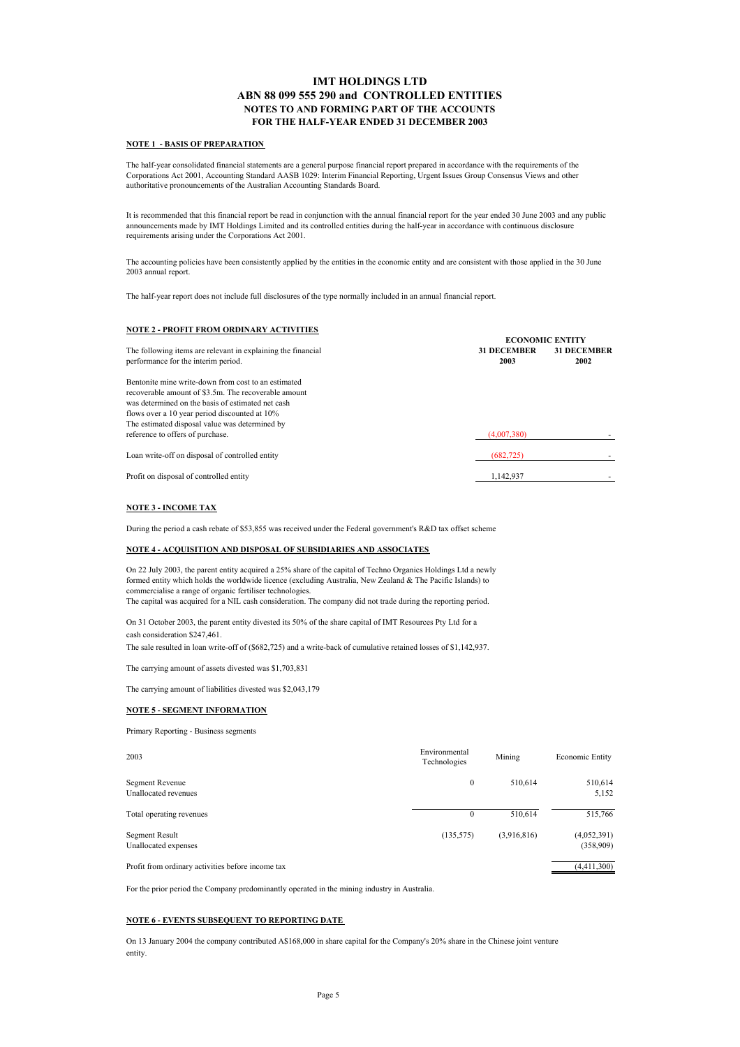### **IMT HOLDINGS LTD ABN 88 099 555 290 and CONTROLLED ENTITIES NOTES TO AND FORMING PART OF THE ACCOUNTS FOR THE HALF-YEAR ENDED 31 DECEMBER 2003**

#### **NOTE 1 - BASIS OF PREPARATION**

The half-year consolidated financial statements are a general purpose financial report prepared in accordance with the requirements of the Corporations Act 2001, Accounting Standard AASB 1029: Interim Financial Reporting, Urgent Issues Group Consensus Views and other authoritative pronouncements of the Australian Accounting Standards Board.

It is recommended that this financial report be read in conjunction with the annual financial report for the year ended 30 June 2003 and any public announcements made by IMT Holdings Limited and its controlled entities during the half-year in accordance with continuous disclosure requirements arising under the Corporations Act 2001.

The accounting policies have been consistently applied by the entities in the economic entity and are consistent with those applied in the 30 June 2003 annual report.

The half-year report does not include full disclosures of the type normally included in an annual financial report.

### **NOTE 2 - PROFIT FROM ORDINARY ACTIVITIES**

|                                                              | <b>ECONOMIC ENTITY</b> |                    |  |
|--------------------------------------------------------------|------------------------|--------------------|--|
| The following items are relevant in explaining the financial | <b>31 DECEMBER</b>     | <b>31 DECEMBER</b> |  |
| performance for the interim period.                          | 2003                   | 2002               |  |
| Bentonite mine write-down from cost to an estimated          |                        |                    |  |
| recoverable amount of \$3.5m. The recoverable amount         |                        |                    |  |
| was determined on the basis of estimated net cash            |                        |                    |  |
| flows over a 10 year period discounted at 10%                |                        |                    |  |
| The estimated disposal value was determined by               |                        |                    |  |
| reference to offers of purchase.                             | (4,007,380)            |                    |  |
| Loan write-off on disposal of controlled entity              | (682, 725)             |                    |  |
| Profit on disposal of controlled entity                      | 1.142.937              |                    |  |

### **NOTE 3 - INCOME TAX**

During the period a cash rebate of \$53,855 was received under the Federal government's R&D tax offset scheme

### **NOTE 4 - ACQUISITION AND DISPOSAL OF SUBSIDIARIES AND ASSOCIATES**

formed entity which holds the worldwide licence (excluding Australia, New Zealand & The Pacific Islands) to commercialise a range of organic fertiliser technologies. On 22 July 2003, the parent entity acquired a 25% share of the capital of Techno Organics Holdings Ltd a newly

The capital was acquired for a NIL cash consideration. The company did not trade during the reporting period.

On 31 October 2003, the parent entity divested its 50% of the share capital of IMT Resources Pty Ltd for a cash consideration \$247,461.

The sale resulted in loan write-off of (\$682,725) and a write-back of cumulative retained losses of \$1,142,937.

The carrying amount of assets divested was \$1,703,831

The carrying amount of liabilities divested was \$2,043,179

#### **NOTE 5 - SEGMENT INFORMATION**

Primary Reporting - Business segments

| 2003                                              | Environmental<br>Technologies | Mining      | Economic Entity          |
|---------------------------------------------------|-------------------------------|-------------|--------------------------|
| Segment Revenue<br>Unallocated revenues           | $\mathbf{0}$                  | 510.614     | 510,614<br>5,152         |
| Total operating revenues                          | $\Omega$                      | 510.614     | 515,766                  |
| Segment Result<br>Unallocated expenses            | (135, 575)                    | (3,916,816) | (4,052,391)<br>(358,909) |
| Profit from ordinary activities before income tax |                               |             | (4,411,300)              |

For the prior period the Company predominantly operated in the mining industry in Australia.

### **NOTE 6 - EVENTS SUBSEQUENT TO REPORTING DATE**

entity. On 13 January 2004 the company contributed A\$168,000 in share capital for the Company's 20% share in the Chinese joint venture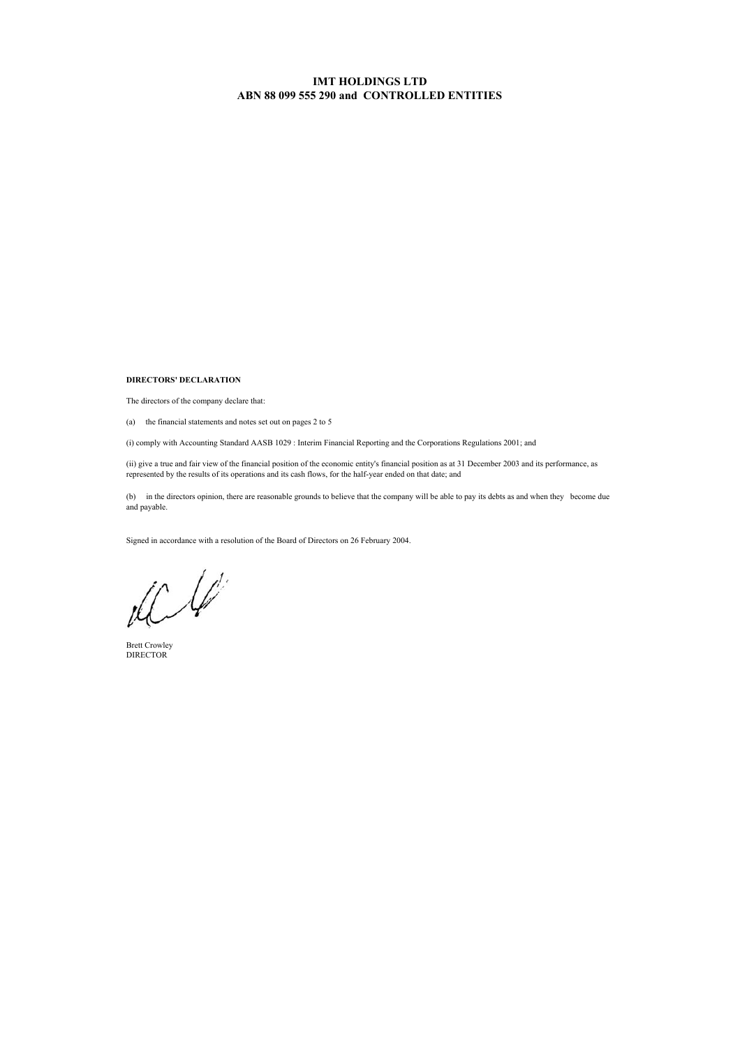**DIRECTORS' DECLARATION**

The directors of the company declare that:

(a) the financial statements and notes set out on pages 2 to 5

(i) comply with Accounting Standard AASB 1029 : Interim Financial Reporting and the Corporations Regulations 2001; and

(ii) give a true and fair view of the financial position of the economic entity's financial position as at 31 December 2003 and its performance, as represented by the results of its operations and its cash flows, for the half-year ended on that date; and

(b) in the directors opinion, there are reasonable grounds to believe that the company will be able to pay its debts as and when they become due and payable.

Signed in accordance with a resolution of the Board of Directors on 26 February 2004.

 $\prime$  $\mathcal{L}$ 

Brett Crowley DIRECTOR